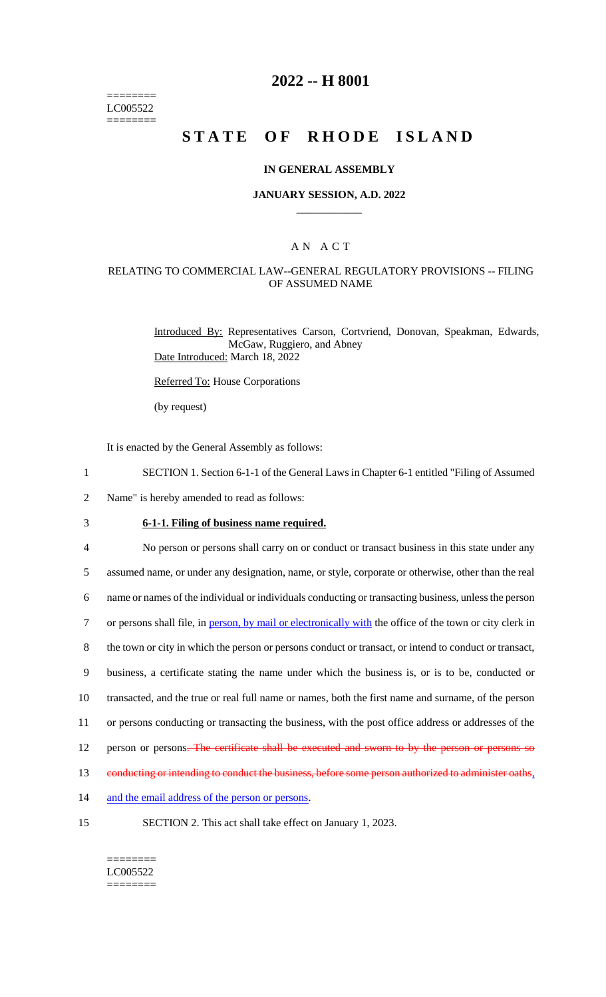======== LC005522 ========

## **2022 -- H 8001**

# **STATE OF RHODE ISLAND**

#### **IN GENERAL ASSEMBLY**

#### **JANUARY SESSION, A.D. 2022 \_\_\_\_\_\_\_\_\_\_\_\_**

### A N A C T

## RELATING TO COMMERCIAL LAW--GENERAL REGULATORY PROVISIONS -- FILING OF ASSUMED NAME

Introduced By: Representatives Carson, Cortvriend, Donovan, Speakman, Edwards, McGaw, Ruggiero, and Abney Date Introduced: March 18, 2022

Referred To: House Corporations

(by request)

It is enacted by the General Assembly as follows:

- 1 SECTION 1. Section 6-1-1 of the General Laws in Chapter 6-1 entitled "Filing of Assumed
- 2 Name" is hereby amended to read as follows:
- 3 **6-1-1. Filing of business name required.**

4 No person or persons shall carry on or conduct or transact business in this state under any

5 assumed name, or under any designation, name, or style, corporate or otherwise, other than the real

6 name or names of the individual or individuals conducting or transacting business, unless the person

7 or persons shall file, in person, by mail or electronically with the office of the town or city clerk in

8 the town or city in which the person or persons conduct or transact, or intend to conduct or transact,

9 business, a certificate stating the name under which the business is, or is to be, conducted or

10 transacted, and the true or real full name or names, both the first name and surname, of the person

11 or persons conducting or transacting the business, with the post office address or addresses of the

12 person or persons. The certificate shall be executed and sworn to by the person or persons so

13 conducting or intending to conduct the business, before some person authorized to administer oaths,

- 14 and the email address of the person or persons.
- 

15 SECTION 2. This act shall take effect on January 1, 2023.